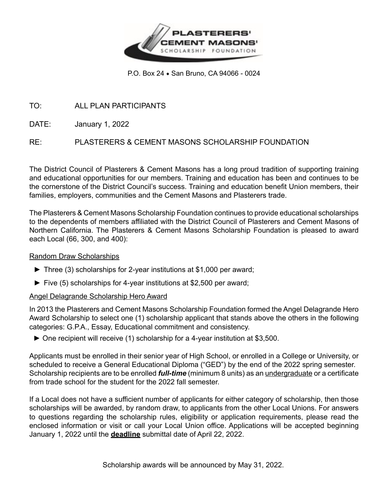

P.O. Box 24 ◆ San Bruno, CA 94066 - 0024

## TO: ALL PLAN PARTICIPANTS

DATE: January 1, 2022

RE: PLASTERERS & CEMENT MASONS SCHOLARSHIP FOUNDATION

The District Council of Plasterers & Cement Masons has a long proud tradition of supporting training and educational opportunities for our members. Training and education has been and continues to be the cornerstone of the District Council's success. Training and education benefit Union members, their families, employers, communities and the Cement Masons and Plasterers trade.

The Plasterers & Cement Masons Scholarship Foundation continues to provide educational scholarships to the dependents of members affiliated with the District Council of Plasterers and Cement Masons of Northern California. The Plasterers & Cement Masons Scholarship Foundation is pleased to award each Local (66, 300, and 400):

### Random Draw Scholarships

- ► Three (3) scholarships for 2-year institutions at \$1,000 per award;
- ► Five (5) scholarships for 4-year institutions at \$2,500 per award;

### Angel Delagrande Scholarship Hero Award

In 2013 the Plasterers and Cement Masons Scholarship Foundation formed the Angel Delagrande Hero Award Scholarship to select one (1) scholarship applicant that stands above the others in the following categories: G.P.A., Essay, Educational commitment and consistency.

► One recipient will receive (1) scholarship for a 4-year institution at \$3,500.

Applicants must be enrolled in their senior year of High School, or enrolled in a College or University, or scheduled to receive a General Educational Diploma ("GED") by the end of the 2022 spring semester. Scholarship recipients are to be enrolled *full-time* (minimum 8 units) as an undergraduate or a certificate from trade school for the student for the 2022 fall semester.

If a Local does not have a sufficient number of applicants for either category of scholarship, then those scholarships will be awarded, by random draw, to applicants from the other Local Unions. For answers to questions regarding the scholarship rules, eligibility or application requirements, please read the enclosed information or visit or call your Local Union office. Applications will be accepted beginning January 1, 2022 until the **deadline** submittal date of April 22, 2022.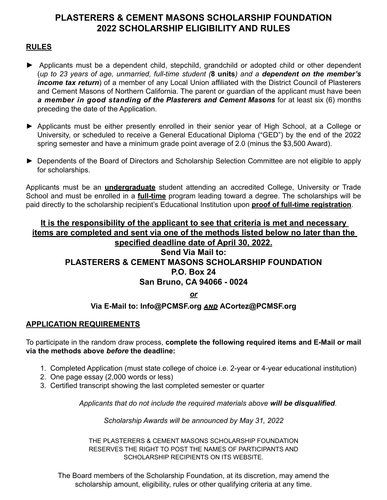# **PLASTERERS & CEMENT MASONS SCHOLARSHIP FOUNDATION 2022 SCHOLARSHIP ELIGIBILITY AND RULES**

# **RULES**

- ► Applicants must be a dependent child, stepchild, grandchild or adopted child or other dependent (*up to 23 years of age, unmarried, full-time student (***8 units***) and a dependent on the member's income tax return*) of a member of any Local Union affiliated with the District Council of Plasterers and Cement Masons of Northern California. The parent or guardian of the applicant must have been *a member in good standing of the Plasterers and Cement Masons* for at least six (6) months preceding the date of the Application.
- ► Applicants must be either presently enrolled in their senior year of High School, at a College or University, or scheduled to receive a General Educational Diploma ("GED") by the end of the 2022 spring semester and have a minimum grade point average of 2.0 (minus the \$3,500 Award).
- ► Dependents of the Board of Directors and Scholarship Selection Committee are not eligible to apply for scholarships.

Applicants must be an **undergraduate** student attending an accredited College, University or Trade School and must be enrolled in a **full-time** program leading toward a degree. The scholarships will be paid directly to the scholarship recipient's Educational Institution upon **proof of full-time registration**.

# **It is the responsibility of the applicant to see that criteria is met and necessary items are completed and sent via one of the methods listed below no later than the specified deadline date of April 30, 2022. Send Via Mail to: PLASTERERS & CEMENT MASONS SCHOLARSHIP FOUNDATION P.O. Box 24 San Bruno, CA 94066 - 0024**

*or*

# **Via E-Mail to: Info@PCMSF.org** *and* **ACortez@PCMSF.org**

# **APPLICATION REQUIREMENTS**

To participate in the random draw process, **complete the following required items and E-Mail or mail via the methods above** *before* **the deadline:**

- 1. Completed Application (must state college of choice i.e. 2-year or 4-year educational institution)
- 2. One page essay (2,000 words or less)
- 3. Certified transcript showing the last completed semester or quarter

*Applicants that do not include the required materials above will be disqualified*.

*Scholarship Awards will be announced by May 31, 2022*

THE PLASTERERS & CEMENT MASONS SCHOLARSHIP FOUNDATION RESERVES THE RIGHT TO POST THE NAMES OF PARTICIPANTS AND SCHOLARSHIP RECIPIENTS ON ITS WEBSITE.

The Board members of the Scholarship Foundation, at its discretion, may amend the scholarship amount, eligibility, rules or other qualifying criteria at any time.